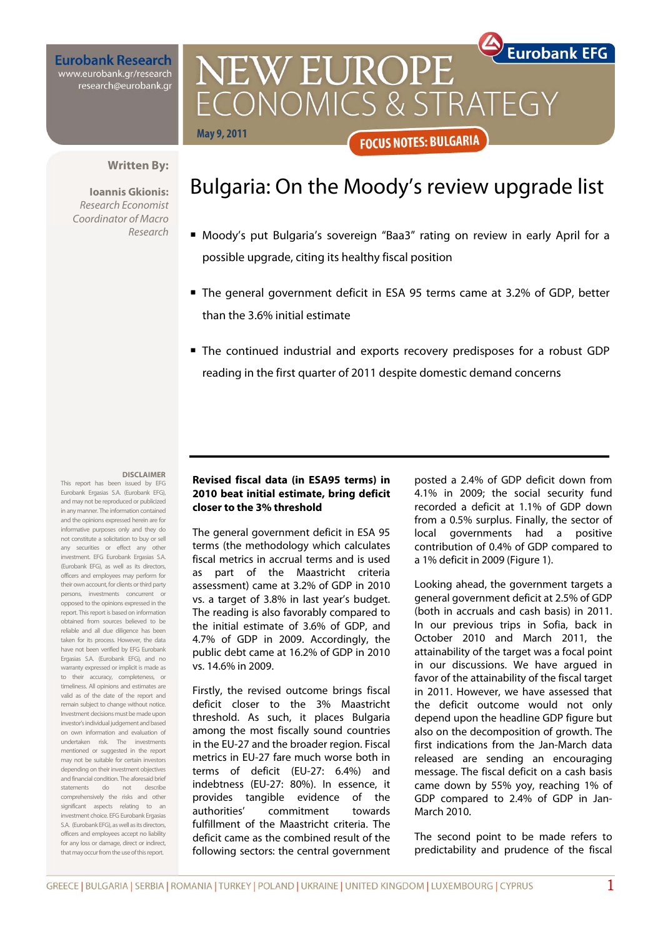**Eurobank Research** www.eurobank.gr/research research@eurobank.gr

**Eurobank EFG** NEW EUROPE CONOMICS & STRATEGY **May 9, 2011 FOCUS NOTES: BULGARIA** 

## **Written By:**

**Ioannis Gkionis:**  Research Economist Coordinator of Macro Research

# Bulgaria: On the Moody's review upgrade list

- Moody's put Bulgaria's sovereign "Baa3" rating on review in early April for a possible upgrade, citing its healthy fiscal position
- The general government deficit in ESA 95 terms came at 3.2% of GDP, better than the 3.6% initial estimate
- The continued industrial and exports recovery predisposes for a robust GDP reading in the first quarter of 2011 despite domestic demand concerns

#### **DISCLAIMER**

This report has been issued by EFG Eurobank Ergasias S.A. (Eurobank EFG), and may not be reproduced or publicized in any manner. The information contained and the opinions expressed herein are for informative purposes only and they do not constitute a solicitation to buy or sell any securities or effect any other investment. EFG Eurobank Ergasias S.A. (Eurobank EFG), as well as its directors, officers and employees may perform for their own account, for clients or third party persons, investments concurrent or opposed to the opinions expressed in the report. This report is based on information obtained from sources believed to be reliable and all due diligence has been taken for its process. However, the data have not been verified by EFG Eurobank Ergasias S.A. (Eurobank EFG), and no warranty expressed or implicit is made as to their accuracy, completeness, or timeliness. All opinions and estimates are valid as of the date of the report and remain subject to change without notice. Investment decisions must be made upon investor's individual judgement and based on own information and evaluation of undertaken risk. The investments mentioned or suggested in the report may not be suitable for certain investors depending on their investment objectives and financial condition. The aforesaid brief statements do not describe comprehensively the risks and other significant aspects relating to an investment choice. EFG Eurobank Ergasias S.A. (Eurobank EFG), as well as its directors, officers and employees accept no liability for any loss or damage, direct or indirect, that may occur from the use of this report.

## **Revised fiscal data (in ESA95 terms) in 2010 beat initial estimate, bring deficit closer to the 3% threshold**

The general government deficit in ESA 95 terms (the methodology which calculates fiscal metrics in accrual terms and is used as part of the Maastricht criteria assessment) came at 3.2% of GDP in 2010 vs. a target of 3.8% in last year's budget. The reading is also favorably compared to the initial estimate of 3.6% of GDP, and 4.7% of GDP in 2009. Accordingly, the public debt came at 16.2% of GDP in 2010 vs. 14.6% in 2009.

Firstly, the revised outcome brings fiscal deficit closer to the 3% Maastricht threshold. As such, it places Bulgaria among the most fiscally sound countries in the EU-27 and the broader region. Fiscal metrics in EU-27 fare much worse both in terms of deficit (EU-27: 6.4%) and indebtness (EU-27: 80%). In essence, it provides tangible evidence of the authorities' commitment towards fulfillment of the Maastricht criteria. The deficit came as the combined result of the following sectors: the central government

posted a 2.4% of GDP deficit down from 4.1% in 2009; the social security fund recorded a deficit at 1.1% of GDP down from a 0.5% surplus. Finally, the sector of local governments had a positive contribution of 0.4% of GDP compared to a 1% deficit in 2009 (Figure 1).

Looking ahead, the government targets a general government deficit at 2.5% of GDP (both in accruals and cash basis) in 2011. In our previous trips in Sofia, back in October 2010 and March 2011, the attainability of the target was a focal point in our discussions. We have argued in favor of the attainability of the fiscal target in 2011. However, we have assessed that the deficit outcome would not only depend upon the headline GDP figure but also on the decomposition of growth. The first indications from the Jan-March data released are sending an encouraging message. The fiscal deficit on a cash basis came down by 55% yoy, reaching 1% of GDP compared to 2.4% of GDP in Jan-March 2010.

The second point to be made refers to predictability and prudence of the fiscal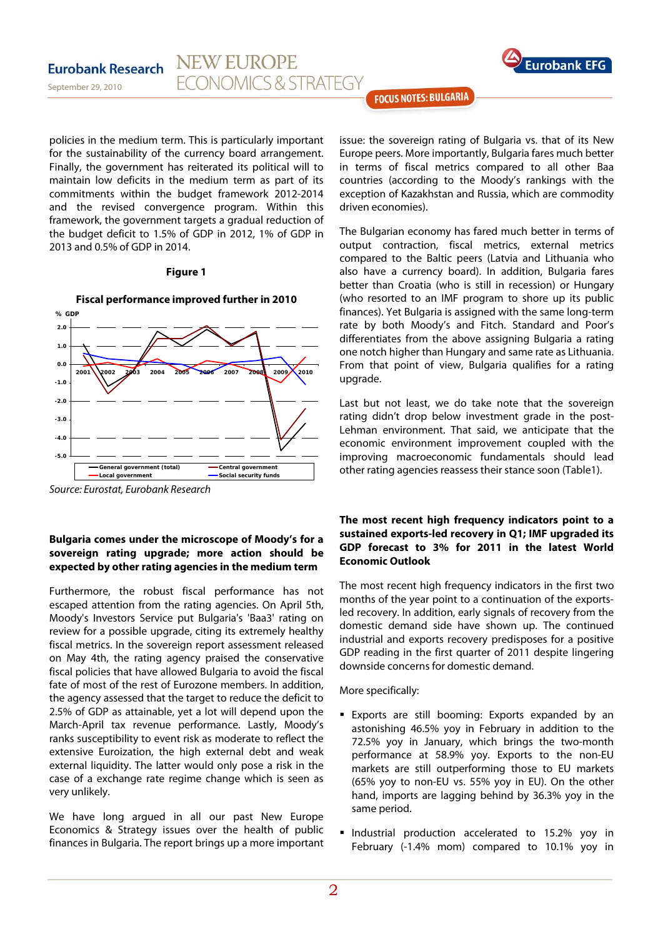

September 29, 2010

**Eurobank Research** 

**FOCUS NOTES: BULGARIA** 

policies in the medium term. This is particularly important for the sustainability of the currency board arrangement. Finally, the government has reiterated its political will to maintain low deficits in the medium term as part of its commitments within the budget framework 2012-2014 and the revised convergence program. Within this framework, the government targets a gradual reduction of the budget deficit to 1.5% of GDP in 2012, 1% of GDP in 2013 and 0.5% of GDP in 2014.

**NEW EUROPE** 

**FCONOMICS & STRATEGY** 

## **Figure 1**



## **Fiscal performance improved further in 2010**

## **Bulgaria comes under the microscope of Moody's for a sovereign rating upgrade; more action should be expected by other rating agencies in the medium term**

Furthermore, the robust fiscal performance has not escaped attention from the rating agencies. On April 5th, Moody's Investors Service put Bulgaria's 'Baa3' rating on review for a possible upgrade, citing its extremely healthy fiscal metrics. In the sovereign report assessment released on May 4th, the rating agency praised the conservative fiscal policies that have allowed Bulgaria to avoid the fiscal fate of most of the rest of Eurozone members. In addition, the agency assessed that the target to reduce the deficit to 2.5% of GDP as attainable, yet a lot will depend upon the March-April tax revenue performance. Lastly, Moody's ranks susceptibility to event risk as moderate to reflect the extensive Euroization, the high external debt and weak external liquidity. The latter would only pose a risk in the case of a exchange rate regime change which is seen as very unlikely.

We have long argued in all our past New Europe Economics & Strategy issues over the health of public finances in Bulgaria. The report brings up a more important

issue: the sovereign rating of Bulgaria vs. that of its New Europe peers. More importantly, Bulgaria fares much better in terms of fiscal metrics compared to all other Baa countries (according to the Moody's rankings with the exception of Kazakhstan and Russia, which are commodity driven economies).

The Bulgarian economy has fared much better in terms of output contraction, fiscal metrics, external metrics compared to the Baltic peers (Latvia and Lithuania who also have a currency board). In addition, Bulgaria fares better than Croatia (who is still in recession) or Hungary (who resorted to an IMF program to shore up its public finances). Yet Bulgaria is assigned with the same long-term rate by both Moody's and Fitch. Standard and Poor's differentiates from the above assigning Bulgaria a rating one notch higher than Hungary and same rate as Lithuania. From that point of view, Bulgaria qualifies for a rating upgrade.

Last but not least, we do take note that the sovereign rating didn't drop below investment grade in the post-Lehman environment. That said, we anticipate that the economic environment improvement coupled with the improving macroeconomic fundamentals should lead other rating agencies reassess their stance soon (Table1).

## **The most recent high frequency indicators point to a sustained exports-led recovery in Q1; IMF upgraded its GDP forecast to 3% for 2011 in the latest World Economic Outlook**

The most recent high frequency indicators in the first two months of the year point to a continuation of the exportsled recovery. In addition, early signals of recovery from the domestic demand side have shown up. The continued industrial and exports recovery predisposes for a positive GDP reading in the first quarter of 2011 despite lingering downside concerns for domestic demand.

More specifically:

- Exports are still booming: Exports expanded by an astonishing 46.5% yoy in February in addition to the 72.5% yoy in January, which brings the two-month performance at 58.9% yoy. Exports to the non-EU markets are still outperforming those to EU markets (65% yoy to non-EU vs. 55% yoy in EU). On the other hand, imports are lagging behind by 36.3% yoy in the same period.
- **Industrial production accelerated to 15.2% yoy in** February (-1.4% mom) compared to 10.1% yoy in

Source: Eurostat, Eurobank Research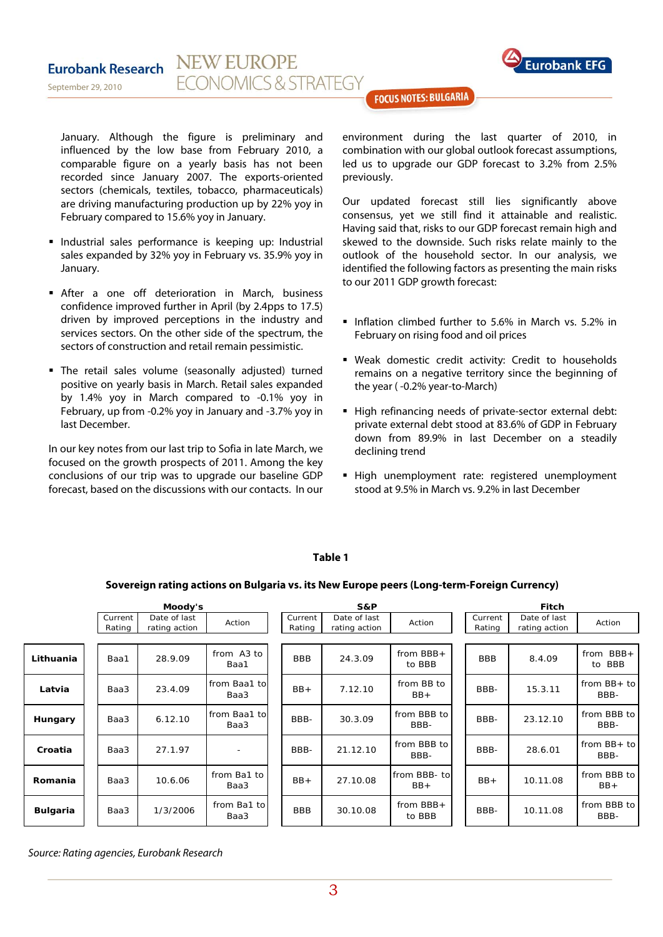

#### **NEW EUROPE Eurobank Research FCONOMICS & STRATEGY** September 29, 2010

**FOCUS NOTES: BULGARIA** 

January. Although the figure is preliminary and influenced by the low base from February 2010, a comparable figure on a yearly basis has not been recorded since January 2007. The exports-oriented sectors (chemicals, textiles, tobacco, pharmaceuticals) are driving manufacturing production up by 22% yoy in February compared to 15.6% yoy in January.

- Industrial sales performance is keeping up: Industrial sales expanded by 32% yoy in February vs. 35.9% yoy in January.
- After a one off deterioration in March, business confidence improved further in April (by 2.4pps to 17.5) driven by improved perceptions in the industry and services sectors. On the other side of the spectrum, the sectors of construction and retail remain pessimistic.
- The retail sales volume (seasonally adjusted) turned positive on yearly basis in March. Retail sales expanded by 1.4% yoy in March compared to -0.1% yoy in February, up from -0.2% yoy in January and -3.7% yoy in last December.

In our key notes from our last trip to Sofia in late March, we focused on the growth prospects of 2011. Among the key conclusions of our trip was to upgrade our baseline GDP forecast, based on the discussions with our contacts. In our environment during the last quarter of 2010, in combination with our global outlook forecast assumptions, led us to upgrade our GDP forecast to 3.2% from 2.5% previously.

Our updated forecast still lies significantly above consensus, yet we still find it attainable and realistic. Having said that, risks to our GDP forecast remain high and skewed to the downside. Such risks relate mainly to the outlook of the household sector. In our analysis, we identified the following factors as presenting the main risks to our 2011 GDP growth forecast:

- Inflation climbed further to 5.6% in March vs. 5.2% in February on rising food and oil prices
- Weak domestic credit activity: Credit to households remains on a negative territory since the beginning of the year ( -0.2% year-to-March)
- High refinancing needs of private-sector external debt: private external debt stood at 83.6% of GDP in February down from 89.9% in last December on a steadily declining trend
- High unemployment rate: registered unemployment stood at 9.5% in March vs. 9.2% in last December

## **Table 1**

## **Sovereign rating actions on Bulgaria vs. its New Europe peers (Long-term-Foreign Currency)**

|           | Moody's           |                               |                       | S&P               |                               |                        | Fitch             |                               |                                    |
|-----------|-------------------|-------------------------------|-----------------------|-------------------|-------------------------------|------------------------|-------------------|-------------------------------|------------------------------------|
|           | Current<br>Rating | Date of last<br>rating action | Action                | Current<br>Rating | Date of last<br>rating action | Action                 | Current<br>Rating | Date of last<br>rating action | Action                             |
|           |                   |                               |                       |                   |                               |                        |                   |                               |                                    |
| Lithuania | Baa1              | 28.9.09                       | from A3 to<br>Baa1    | <b>BBB</b>        | 24.3.09                       | from $BBB +$<br>to BBB | <b>BBB</b>        | 8.4.09                        | $BBB+$<br>from<br><b>BBB</b><br>to |
| Latvia    | Baa3              | 23.4.09                       | from Baa1 tol<br>Baa3 | $BB+$             | 7.12.10                       | from BB to<br>$BB+$    | BBB-              | 15.3.11                       | from $BB+$ to<br>BBB-              |
| Hungary   | Baa3              | 6.12.10                       | from Baa1 tol<br>Baa3 | BBB-              | 30.3.09                       | from BBB to<br>BBB-    | BBB-              | 23.12.10                      | from BBB to<br>BBB-                |
| Croatia   | Baa3              | 27.1.97                       | ٠                     | BBB-              | 21.12.10                      | from BBB to<br>BBB-    | BBB-              | 28.6.01                       | from $BB + to$<br>BBB-             |
| Romania   | Baa3              | 10.6.06                       | from Ba1 to<br>Baa3   | $BB+$             | 27.10.08                      | from BBB- to<br>$BB+$  | $BB+$             | 10.11.08                      | from BBB to<br>$BB+$               |
| Bulgaria  | Baa3              | 1/3/2006                      | from Ba1 to<br>Baa3   | <b>BBB</b>        | 30.10.08                      | from $BBB +$<br>to BBB | BBB-              | 10.11.08                      | from BBB to<br>BBB-                |

Source: Rating agencies, Eurobank Research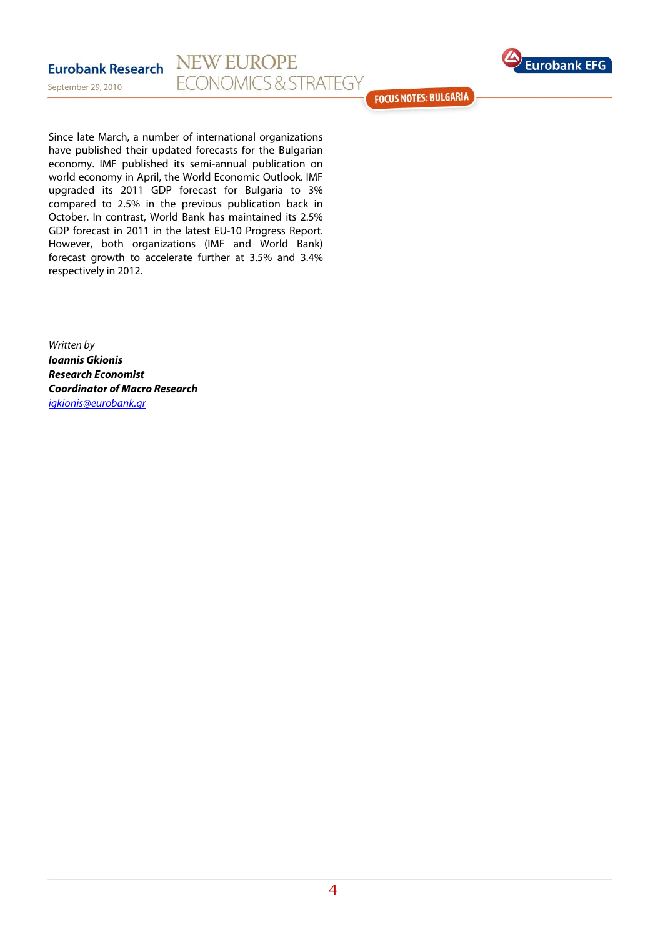



**FOCUS NOTES: BULGARIA** 

Since late March, a number of international organizations have published their updated forecasts for the Bulgarian economy. IMF published its semi-annual publication on world economy in April, the World Economic Outlook. IMF upgraded its 2011 GDP forecast for Bulgaria to 3% compared to 2.5% in the previous publication back in October. In contrast, World Bank has maintained its 2.5% GDP forecast in 2011 in the latest EU-10 Progress Report. However, both organizations (IMF and World Bank) forecast growth to accelerate further at 3.5% and 3.4% respectively in 2012.

Written by **Ioannis Gkionis Research Economist Coordinator of Macro Research**  igkionis@eurobank.gr

September 29, 2010